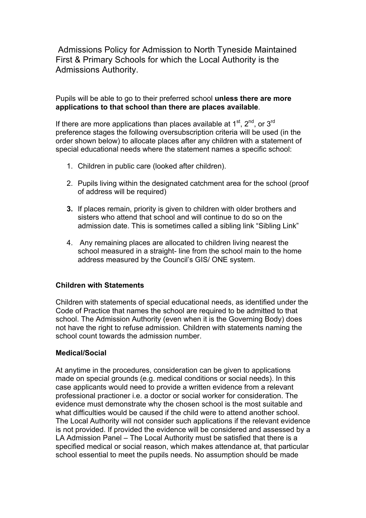Admissions Policy for Admission to North Tyneside Maintained First & Primary Schools for which the Local Authority is the Admissions Authority.

Pupils will be able to go to their preferred school **unless there are more applications to that school than there are places available**.

If there are more applications than places available at  $1<sup>st</sup>$ ,  $2<sup>nd</sup>$ , or  $3<sup>rd</sup>$ preference stages the following oversubscription criteria will be used (in the order shown below) to allocate places after any children with a statement of special educational needs where the statement names a specific school:

- 1. Children in public care (looked after children).
- 2. Pupils living within the designated catchment area for the school (proof of address will be required)
- **3.** If places remain, priority is given to children with older brothers and sisters who attend that school and will continue to do so on the admission date. This is sometimes called a sibling link "Sibling Link"
- 4. Any remaining places are allocated to children living nearest the school measured in a straight- line from the school main to the home address measured by the Council's GIS/ ONE system.

## **Children with Statements**

Children with statements of special educational needs, as identified under the Code of Practice that names the school are required to be admitted to that school. The Admission Authority (even when it is the Governing Body) does not have the right to refuse admission. Children with statements naming the school count towards the admission number.

## **Medical/Social**

At anytime in the procedures, consideration can be given to applications made on special grounds (e.g. medical conditions or social needs). In this case applicants would need to provide a written evidence from a relevant professional practioner i.e. a doctor or social worker for consideration. The evidence must demonstrate why the chosen school is the most suitable and what difficulties would be caused if the child were to attend another school. The Local Authority will not consider such applications if the relevant evidence is not provided. If provided the evidence will be considered and assessed by a LA Admission Panel – The Local Authority must be satisfied that there is a specified medical or social reason, which makes attendance at, that particular school essential to meet the pupils needs. No assumption should be made